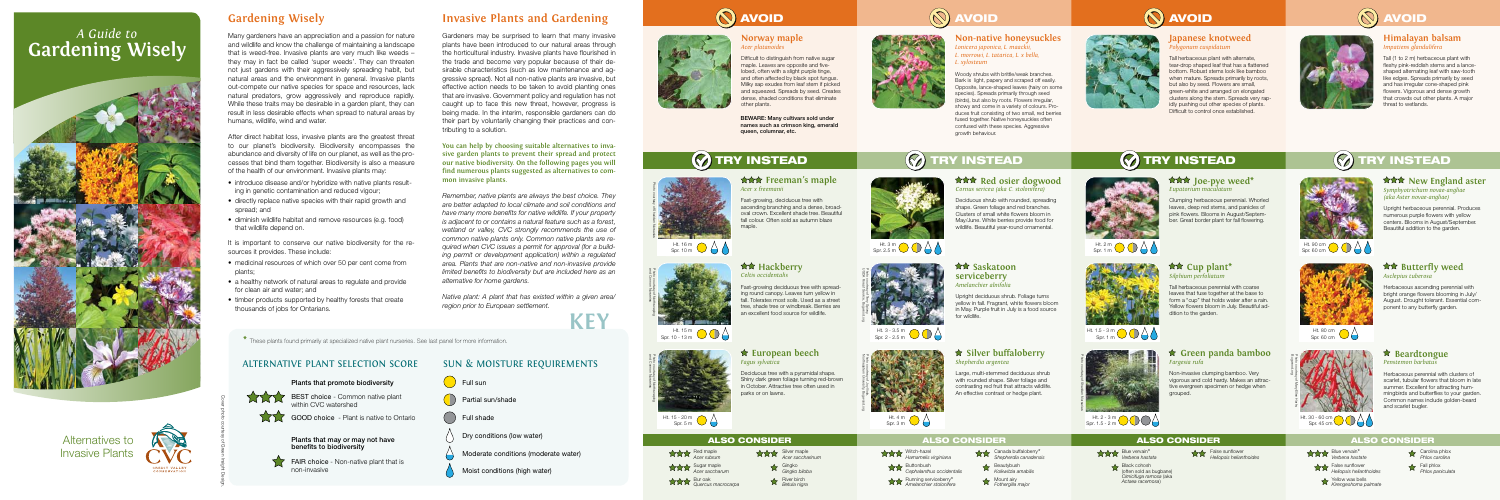### SUN & MOISTURE REQUIREMENTS







# **Gardening Wisely**

Many gardeners have an appreciation and a passion for nature and wildlife and know the challenge of maintaining a landscape that is weed-free. Invasive plants are very much like weeds – they may in fact be called 'super weeds'. They can threaten not just gardens with their aggressively spreading habit, but natural areas and the environment in general. Invasive plants out-compete our native species for space and resources, lack natural predators, grow aggressively and reproduce rapidly. While these traits may be desirable in a garden plant, they can result in less desirable effects when spread to natural areas by humans, wildlife, wind and water.

After direct habitat loss, invasive plants are the greatest threat to our planet's biodiversity. Biodiversity encompasses the abundance and diversity of life on our planet, as well as the processes that bind them together. Biodiversity is also a measure of the health of our environment. Invasive plants may:

- introduce disease and/or hybridize with native plants resulting in genetic contamination and reduced vigour;
- directly replace native species with their rapid growth and spread; and
- diminish wildlife habitat and remove resources (e.g. food) that wildlife depend on.

It is important to conserve our native biodiversity for the resources it provides. These include:

- medicinal resources of which over 50 per cent come from plants;
- a healthy network of natural areas to regulate and provide for clean air and water; and
- timber products supported by healthy forests that create thousands of jobs for Ontarians.

# **Invasive Plants and Gardening**

BEWARE: Many cultivars sold under names such as crimson king, emerald queen, columnar, etc.

Gardeners may be surprised to learn that many invasive plants have been introduced to our natural areas through the horticultural industry. Invasive plants have flourished in the trade and become very popular because of their desirable characteristics (such as low maintenance and aggressive spread). Not all non-native plants are invasive, but effective action needs to be taken to avoid planting ones that are invasive. Government policy and regulation has not caught up to face this new threat, however, progress is being made. In the interim, responsible gardeners can do their part by voluntarily changing their practices and contributing to a solution.

### **<del><b>★★★**</del> Freeman's maple *Acer x freemanii*

Fast-growing, deciduous tree with ascending branching and a dense, broadoval crown. Excellent shade tree. Beautiful fall colour. Often sold as autumn blaze maple



### **★★ Hackberry** *Celtis occidentalis*

**You can help by choosing suitable alternatives to invasive garden plants to prevent their spread and protect our native biodiversity. On the following pages you will find numerous plants suggested as alternatives to common invasive plants.**

**Red osier dogwood** *Cornus sericea (aka C. stolonifera)* Deciduous shrub with rounded, spreading shape. Green foliage and red branches. Clusters of small white flowers bloom in May/June. White berries provide food for wildlife. Beautiful year-round ornamental.

*Remember, native plants are always the best choice. They are better adapted to local climate and soil conditions and have many more benefits for native wildlife. If your property is adjacent to or contains a natural feature such as a forest, wetland or valley, CVC strongly recommends the use of common native plants only. Common native plants are required when CVC issues a permit for approval (for a building permit or development application) within a regulated area. Plants that are non-native and non-invasive provide limited benefits to biodiversity but are included here as an alternative for home gardens.*

*Native plant: A plant that has existed within a given area/ region prior to European settlement.*

### **Norway maple** *Acer platanoides*

Difficult to distinguish from native sugar maple. Leaves are opposite and fivelobed, often with a slight purple tinge, and often affected by black spot fungus. Milky sap exudes from leaf stem if picked and squeezed. Spreads by seed. Creates dense, shaded conditions that eliminate other plants.

### **Non-native honeysuckles** *Lonicera japonica, L. maackii, L. morrowi, L. tatarica, L. x bella, L. xylosteum*

### **RAX** Butterfly weed *Asclepius tuberosa*

Woody shrubs with brittle/weak branches. Bark is light, papery and scraped off easily. Opposite, lance-shaped leaves (hairy on some species). Spreads primarily through seed (birds), but also by roots. Flowers irregular, showy and come in a variety of colours. Produces fruit consisting of two small, red berries fused together. Native honeysuckles often confused with these species. Aggressive growth behaviour.

### **Japanese knotweed** *Polygonum cuspidatum*

Tall herbaceous plant with alternate, tear-drop shaped leaf that has a flattened bottom. Robust stems look like bamboo when mature. Spreads primarily by roots, but also by seed. Flowers are small, green-white and arranged on elongated clusters along the stem. Spreads very rapidly pushing out other species of plants. Difficult to control once established.



# $\bigcirc$  try instead  $\bigcirc$  try instead  $\bigcirc$  try instead



Fast-growing deciduous tree with spreading round canopy. Leaves turn yellow in I. Tolerates most soils. Used as a street tree, shade tree or windbreak. Berries are an excellent food source for wildlife.



# **European beech**





# *Fagus sylvatica*

Deciduous tree with a pyramidal shape. parks or on lawns.

Shiny dark green foliage turning red-brown in October. Attractive tree often used in



**serviceberry**  *Amelanchier alnifolia*

Upright deciduous shrub. Foliage turns yellow in fall. Fragrant, white flowers bloom in May. Purple fruit in July is a food source for wildlife.

### **Silver buffaloberry** *Shepherdia argentea*

Large, multi-stemmed deciduous shrub with rounded shape. Silver foliage and contrasting red fruit that attracts wildlife. An effective contrast or hedge plant.

 **Joe-pye weed\*** *Eupatorium maculatum*

Clumping herbaceous perennial. Whorled leaves, deep red stems, and panicles of pink flowers. Blooms in August/September. Great border plant for fall flowering.

 **Cup plant\*** *Silphium perfoliatum*

Tall herbaceous perennial with coarse leaves that fuse together at the base to form a "cup" that holds water after a rain. Yellow flowers bloom in July. Beautiful ad-







dition to the garden.



# *Fargesia rufa*

Non-invasive clumping bamboo. Very vigorous and cold hardy. Makes an attractive evergreen specimen or hedge when grouped.





## ALTERNATIVE PLANT SELECTION SCORE



FAIR choice - Non-native plant that is non-invasive



Red maple *Acer rubrum* Sugar maple *Acer saccharum* Bur oak *Quercus macrocarpa*



River birch *Betula nigra*





Witch-hazel *Hamamelis virginiana* Buttonbush *Cephalanthus occidentalis* Running serviceberry\* *Amelanchier stolonifera*

Canada buffaloberry\* *Shepherdia canadensis*

- Beautybush *Kolkwitzia amabilis*
- Mount airy *Fothergilla major*

# *<u><b>A* Saskatoon</u>

Blue vervain\* *Verbena hastata*



False sunflower *Heliopsis helianthoides*

### **Beardtongue** *Penstemon barbatus*

Herbaceous perennial with clusters of scarlet, tubular flowers that bloom in late summer. Excellent for attracting hummingbirds and butterflies to your garden. Common names include golden-beard and scarlet bugler.

### **Himalayan balsam** *Impatiens glandulifera*

Tall (1 to 2 m) herbaceous plant with fleshy pink-reddish stems and a lanceshaped alternating leaf with saw-tooth like edges. Spreads primarily by seed and has irregular cone-shaped pink flowers. Vigorous and dense growth that crowds out other plants. A major threat to wetlands.

# **(V) TRY INSTEAD**

### **Mark** New England aster

*Symphyotrichum novae-angliae (aka Aster novae-angliae)*

Upright herbaceous perennial. Produces numerous purple flowers with yellow centers. Blooms in August/September. Beautiful addition to the garden.

Herbaceous ascending perennial with bright orange flowers blooming in July/ August. Drought tolerant. Essential component to any butterfly garden.

Blue vervain\* *Verbena hastate*

False sunflower *Heliopsis helianthoides*

Yellow wax bells *Kirengeshoma palmate*



Carolina phlox *Phlox carolina*



**\*** These plants found primarily at specialized native plant nurseries. See last panel for more information.

Cover photo courtesy of Green Insight Design.



# ALSO CONSIDER ALSO CONSIDER ALSO CONSIDER

### ALSO CONSIDER





Ht. 3 m Spr. 2.5 m



Ht. 2 m Spr. 1 m



Ht. 16 m Spr. 10 m





Ht. 15 m Spr. 10 - 13 m



Ht. 30 - 60 cm Spr. 45 cm



Ht. 15 - 20 m Spr. 5 m







# *A Guide to* **Gardening Wisely**



# Alternatives to Invasive Plants



# Ht. 4 m Spr. 3 m Northeastern University, Bugwood.org Photo courtesy of Joy Viola,







Bugwood.org